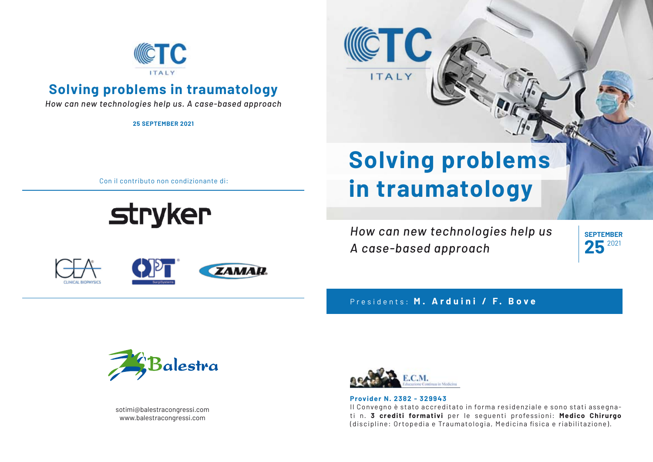

## **Solving problems in traumatology**

*How can new technologies help us. A case-based approach*

**25 SEPTEMBER 2021**

**Solving problems in traumatology**

*How can new technologies help us*

Con il contributo non condizionante di:

**stryker** 

# **ZAMAR**

Presidents: **M. Arduini / F. Bove**

*A case-based approach*



sotimi@balestracongressi.com www.balestracongressi.com



#### **Provider N. 2382 - 329943** Il Convegno è stato accreditato in forma residenziale e sono stati assegnati n. **3 crediti formativi** per le seguenti professioni: **Medico Chirurgo**  (discipline: Ortopedia e Traumatologia, Medicina fisica e riabilitazione).